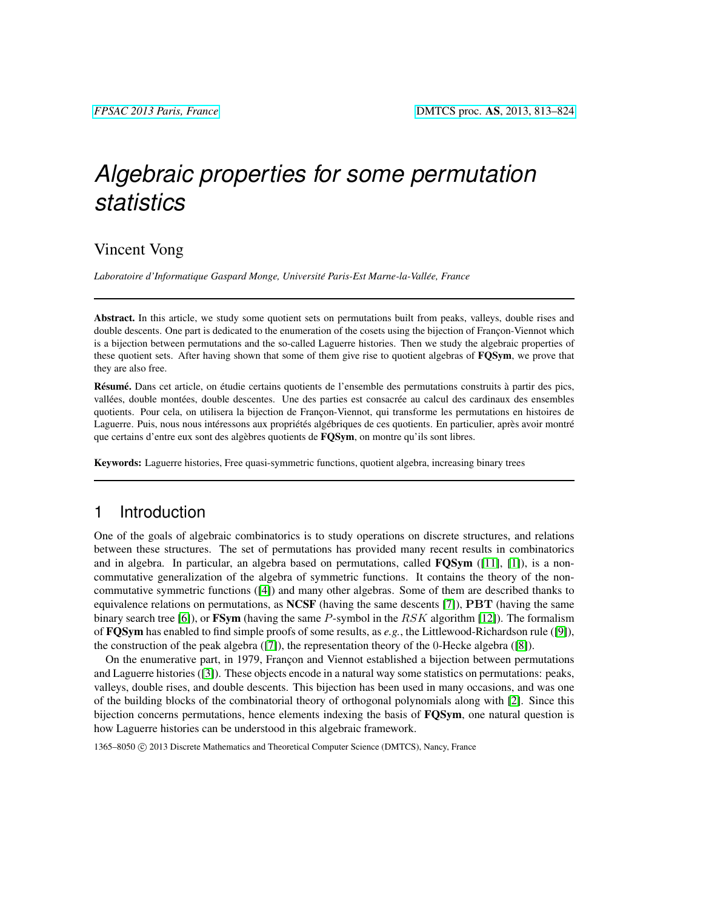# *Algebraic properties for some permutation statistics*

## Vincent Vong

*Laboratoire d'Informatique Gaspard Monge, Universite Paris-Est Marne-la-Vall ´ ee, France ´*

Abstract. In this article, we study some quotient sets on permutations built from peaks, valleys, double rises and double descents. One part is dedicated to the enumeration of the cosets using the bijection of Françon-Viennot which is a bijection between permutations and the so-called Laguerre histories. Then we study the algebraic properties of these quotient sets. After having shown that some of them give rise to quotient algebras of **FQSym**, we prove that they are also free.

Résumé. Dans cet article, on étudie certains quotients de l'ensemble des permutations construits à partir des pics, vallées, double montées, double descentes. Une des parties est consacrée au calcul des cardinaux des ensembles quotients. Pour cela, on utilisera la bijection de Françon-Viennot, qui transforme les permutations en histoires de Laguerre. Puis, nous nous intéressons aux propriétés algébriques de ces quotients. En particulier, après avoir montré que certains d'entre eux sont des algèbres quotients de FQSym, on montre qu'ils sont libres.

Keywords: Laguerre histories, Free quasi-symmetric functions, quotient algebra, increasing binary trees

## 1 Introduction

One of the goals of algebraic combinatorics is to study operations on discrete structures, and relations between these structures. The set of permutations has provided many recent results in combinatorics and in algebra. In particular, an algebra based on permutations, called  $\text{FQSym}$  ([\[11\]](#page-11-0), [\[1\]](#page-11-1)), is a noncommutative generalization of the algebra of symmetric functions. It contains the theory of the noncommutative symmetric functions ([\[4\]](#page-11-2)) and many other algebras. Some of them are described thanks to equivalence relations on permutations, as  $NCSF$  (having the same descents [\[7\]](#page-11-3)),  $PBT$  (having the same binary search tree [\[6\]](#page-11-4)), or  $\mathbf{FSym}$  (having the same P-symbol in the RSK algorithm [\[12\]](#page-11-5)). The formalism of FQSym has enabled to find simple proofs of some results, as *e.g.*, the Littlewood-Richardson rule ([\[9\]](#page-11-6)), the construction of the peak algebra ([\[7\]](#page-11-3)), the representation theory of the 0-Hecke algebra ([\[8\]](#page-11-7)).

On the enumerative part, in 1979, Françon and Viennot established a bijection between permutations and Laguerre histories ([\[3\]](#page-11-8)). These objects encode in a natural way some statistics on permutations: peaks, valleys, double rises, and double descents. This bijection has been used in many occasions, and was one of the building blocks of the combinatorial theory of orthogonal polynomials along with [\[2\]](#page-11-9). Since this bijection concerns permutations, hence elements indexing the basis of **FQSym**, one natural question is how Laguerre histories can be understood in this algebraic framework.

1365–8050 C 2013 Discrete Mathematics and Theoretical Computer Science (DMTCS), Nancy, France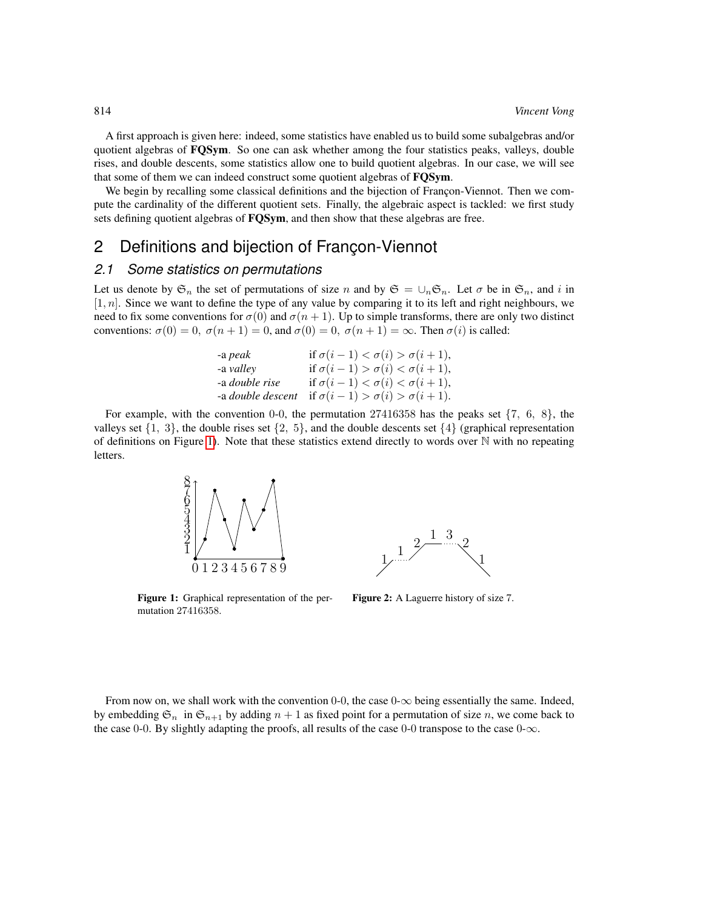A first approach is given here: indeed, some statistics have enabled us to build some subalgebras and/or quotient algebras of FQSym. So one can ask whether among the four statistics peaks, valleys, double rises, and double descents, some statistics allow one to build quotient algebras. In our case, we will see that some of them we can indeed construct some quotient algebras of FQSym.

We begin by recalling some classical definitions and the bijection of Francon-Viennot. Then we compute the cardinality of the different quotient sets. Finally, the algebraic aspect is tackled: we first study sets defining quotient algebras of **FOSym**, and then show that these algebras are free.

## 2 Definitions and bijection of Francon-Viennot

#### *2.1 Some statistics on permutations*

Let us denote by  $\mathfrak{S}_n$  the set of permutations of size n and by  $\mathfrak{S} = \bigcup_n \mathfrak{S}_n$ . Let  $\sigma$  be in  $\mathfrak{S}_n$ , and i in  $[1, n]$ . Since we want to define the type of any value by comparing it to its left and right neighbours, we need to fix some conventions for  $\sigma(0)$  and  $\sigma(n + 1)$ . Up to simple transforms, there are only two distinct conventions:  $\sigma(0) = 0$ ,  $\sigma(n+1) = 0$ , and  $\sigma(0) = 0$ ,  $\sigma(n+1) = \infty$ . Then  $\sigma(i)$  is called:

| if $\sigma(i-1) < \sigma(i) > \sigma(i+1)$ ,                          |
|-----------------------------------------------------------------------|
| if $\sigma(i-1) > \sigma(i) < \sigma(i+1)$ ,                          |
| if $\sigma(i-1) < \sigma(i) < \sigma(i+1)$ ,                          |
| -a <i>double descent</i> if $\sigma(i-1) > \sigma(i) > \sigma(i+1)$ . |
|                                                                       |

For example, with the convention 0-0, the permutation  $27416358$  has the peaks set  $\{7, 6, 8\}$ , the valleys set  $\{1, 3\}$ , the double rises set  $\{2, 5\}$ , and the double descents set  $\{4\}$  (graphical representation of definitions on Figure [1\)](#page-1-0). Note that these statistics extend directly to words over  $\mathbb N$  with no repeating letters.



<span id="page-1-0"></span>Figure 1: Graphical representation of the permutation 27416358.



<span id="page-1-1"></span>Figure 2: A Laguerre history of size 7.

From now on, we shall work with the convention 0-0, the case  $0-\infty$  being essentially the same. Indeed, by embedding  $\mathfrak{S}_n$  in  $\mathfrak{S}_{n+1}$  by adding  $n+1$  as fixed point for a permutation of size n, we come back to the case 0-0. By slightly adapting the proofs, all results of the case 0-0 transpose to the case 0- $\infty$ .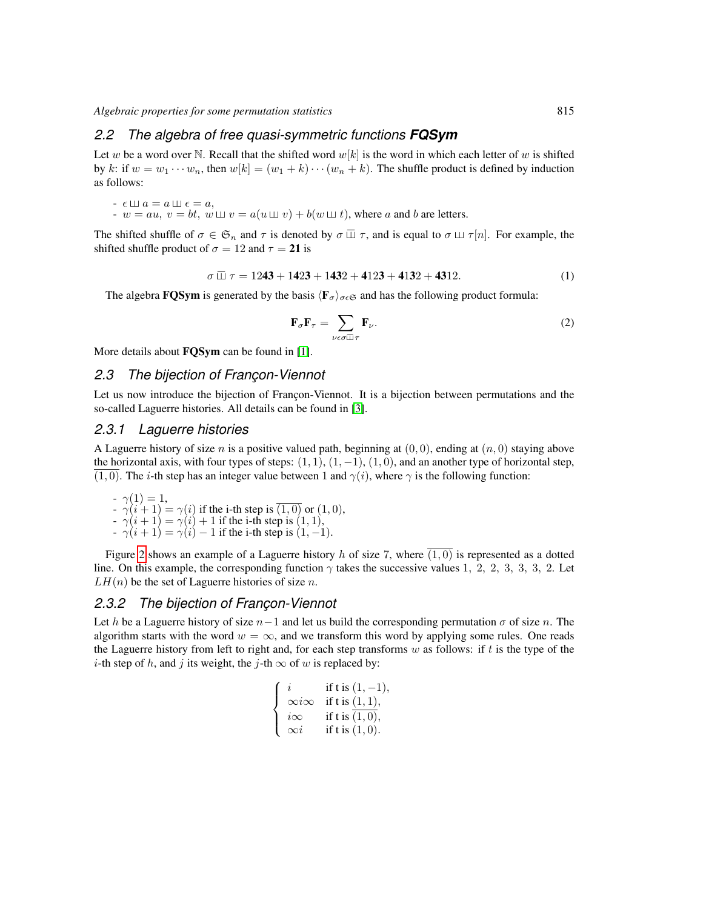#### *2.2 The algebra of free quasi-symmetric functions FQSym*

Let w be a word over N. Recall that the shifted word  $w[k]$  is the word in which each letter of w is shifted by k: if  $w = w_1 \cdots w_n$ , then  $w[k] = (w_1 + k) \cdots (w_n + k)$ . The shuffle product is defined by induction as follows:

$$
- \epsilon \sqcup a = a \sqcup \epsilon = a,
$$

 $- w = au, v = bt, w \sqcup v = a(u \sqcup v) + b(w \sqcup t)$ , where a and b are letters.

The shifted shuffle of  $\sigma \in \mathfrak{S}_n$  and  $\tau$  is denoted by  $\sigma \square \tau$ , and is equal to  $\sigma \square \tau[n]$ . For example, the shifted shuffle product of  $\sigma = 12$  and  $\tau = 21$  is

$$
\sigma \ \overline{\sqcup}\ \tau = 1243 + 1423 + 1432 + 4123 + 4132 + 4312. \tag{1}
$$

The algebra **FQSym** is generated by the basis  $\langle \mathbf{F}_{\sigma} \rangle_{\sigma \in \mathfrak{S}}$  and has the following product formula:

$$
\mathbf{F}_{\sigma}\mathbf{F}_{\tau} = \sum_{\nu \in \sigma \bar{\mathbb{u}}\tau} \mathbf{F}_{\nu}.
$$
 (2)

More details about **FQSym** can be found in [\[1\]](#page-11-1).

## 2.3 The bijection of Francon-Viennot

Let us now introduce the bijection of Françon-Viennot. It is a bijection between permutations and the so-called Laguerre histories. All details can be found in [\[3\]](#page-11-8).

#### *2.3.1 Laguerre histories*

A Laguerre history of size n is a positive valued path, beginning at  $(0, 0)$ , ending at  $(n, 0)$  staying above the horizontal axis, with four types of steps:  $(1, 1)$ ,  $(1, -1)$ ,  $(1, 0)$ , and an another type of horizontal step,  $(1, 0)$ . The *i*-th step has an integer value between 1 and  $\gamma(i)$ , where  $\gamma$  is the following function:

 $-\gamma(1) = 1,$  $-\gamma(i+1) = \gamma(i)$  if the i-th step is  $(1,0)$  or  $(1,0)$ ,  $-\gamma(i+1) = \gamma(i) + 1$  if the i-th step is  $(1, 1)$ ,

 $-\gamma(i + 1) = \gamma(i) - 1$  if the i-th step is  $(1, -1)$ .

Figure [2](#page-1-1) shows an example of a Laguerre history h of size 7, where  $\overline{(1,0)}$  is represented as a dotted line. On this example, the corresponding function  $\gamma$  takes the successive values 1, 2, 2, 3, 3, 3, 2. Let  $LH(n)$  be the set of Laguerre histories of size n.

#### *2.3.2 The bijection of Franc¸on-Viennot*

Let h be a Laguerre history of size  $n-1$  and let us build the corresponding permutation  $\sigma$  of size n. The algorithm starts with the word  $w = \infty$ , and we transform this word by applying some rules. One reads the Laguerre history from left to right and, for each step transforms  $w$  as follows: if  $t$  is the type of the *i*-th step of h, and j its weight, the j-th  $\infty$  of w is replaced by:

$$
\begin{cases}\ni & \text{if } t \text{ is } (1, -1), \\
\infty i \infty & \text{if } t \text{ is } (1, 1), \\
i \infty & \text{if } t \text{ is } (1, 0), \\
\infty i & \text{if } t \text{ is } (1, 0).\n\end{cases}
$$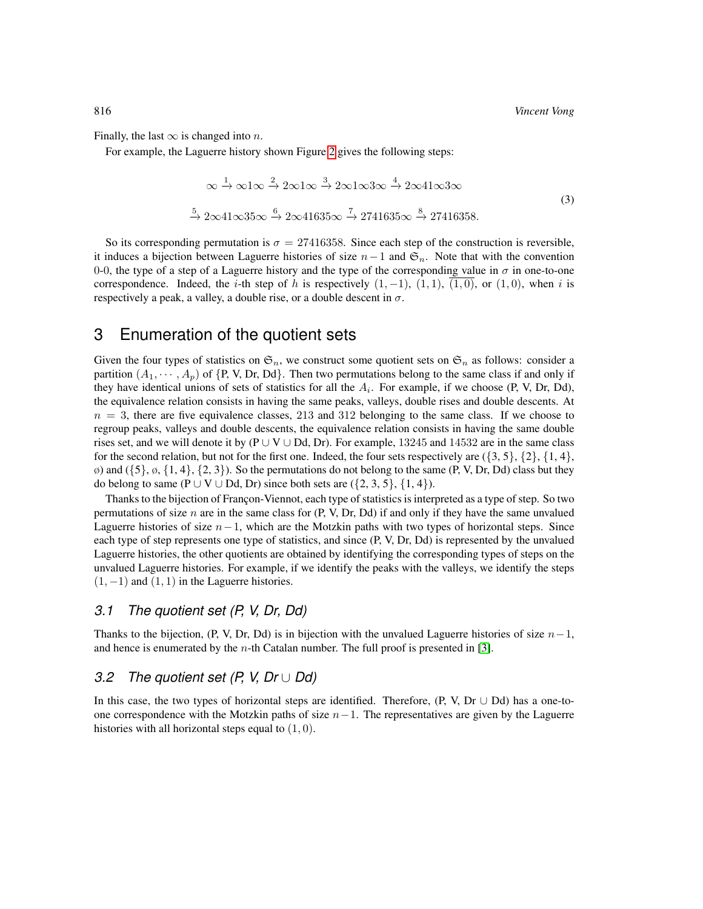Finally, the last  $\infty$  is changed into n.

For example, the Laguerre history shown Figure [2](#page-1-1) gives the following steps:

$$
\infty \xrightarrow{1} \infty 1 \infty \xrightarrow{2} 2 \infty 1 \infty \xrightarrow{3} 2 \infty 1 \infty 3 \infty \xrightarrow{4} 2 \infty 41 \infty 3 \infty
$$
  

$$
\xrightarrow{5} 2 \infty 41 \infty 35 \infty \xrightarrow{6} 2 \infty 41635 \infty \xrightarrow{7} 2741635 \infty \xrightarrow{8} 27416358.
$$
 (3)

So its corresponding permutation is  $\sigma = 27416358$ . Since each step of the construction is reversible, it induces a bijection between Laguerre histories of size  $n-1$  and  $\mathfrak{S}_n$ . Note that with the convention 0-0, the type of a step of a Laguerre history and the type of the corresponding value in  $\sigma$  in one-to-one correspondence. Indeed, the i-th step of h is respectively  $(1, -1)$ ,  $(1, 1)$ ,  $(1, 0)$ , or  $(1, 0)$ , when i is respectively a peak, a valley, a double rise, or a double descent in  $\sigma$ .

## 3 Enumeration of the quotient sets

Given the four types of statistics on  $\mathfrak{S}_n$ , we construct some quotient sets on  $\mathfrak{S}_n$  as follows: consider a partition  $(A_1, \dots, A_p)$  of  $\{P, V, Dr, Dd\}$ . Then two permutations belong to the same class if and only if they have identical unions of sets of statistics for all the  $A_i$ . For example, if we choose (P, V, Dr, Dd), the equivalence relation consists in having the same peaks, valleys, double rises and double descents. At  $n = 3$ , there are five equivalence classes, 213 and 312 belonging to the same class. If we choose to regroup peaks, valleys and double descents, the equivalence relation consists in having the same double rises set, and we will denote it by (P ∪ V ∪ Dd, Dr). For example, 13245 and 14532 are in the same class for the second relation, but not for the first one. Indeed, the four sets respectively are  $(\{3, 5\}, \{2\}, \{1, 4\})$ ,  $\varphi$ ) and  $(\{5\}, \varphi, \{1, 4\}, \{2, 3\})$ . So the permutations do not belong to the same (P, V, Dr, Dd) class but they do belong to same (P ∪ V ∪ Dd, Dr) since both sets are  $({2, 3, 5}, {1, 4})$ .

Thanks to the bijection of Françon-Viennot, each type of statistics is interpreted as a type of step. So two permutations of size n are in the same class for  $(P, V, Dr, Dd)$  if and only if they have the same unvalued Laguerre histories of size  $n-1$ , which are the Motzkin paths with two types of horizontal steps. Since each type of step represents one type of statistics, and since (P, V, Dr, Dd) is represented by the unvalued Laguerre histories, the other quotients are obtained by identifying the corresponding types of steps on the unvalued Laguerre histories. For example, if we identify the peaks with the valleys, we identify the steps  $(1, -1)$  and  $(1, 1)$  in the Laguerre histories.

#### *3.1 The quotient set (P, V, Dr, Dd)*

Thanks to the bijection, (P, V, Dr, Dd) is in bijection with the unvalued Laguerre histories of size  $n-1$ , and hence is enumerated by the  $n$ -th Catalan number. The full proof is presented in [\[3\]](#page-11-8).

#### *3.2 The quotient set (P, V, Dr* ∪ *Dd)*

In this case, the two types of horizontal steps are identified. Therefore,  $(P, V, Dr \cup Dd)$  has a one-toone correspondence with the Motzkin paths of size  $n-1$ . The representatives are given by the Laguerre histories with all horizontal steps equal to  $(1, 0)$ .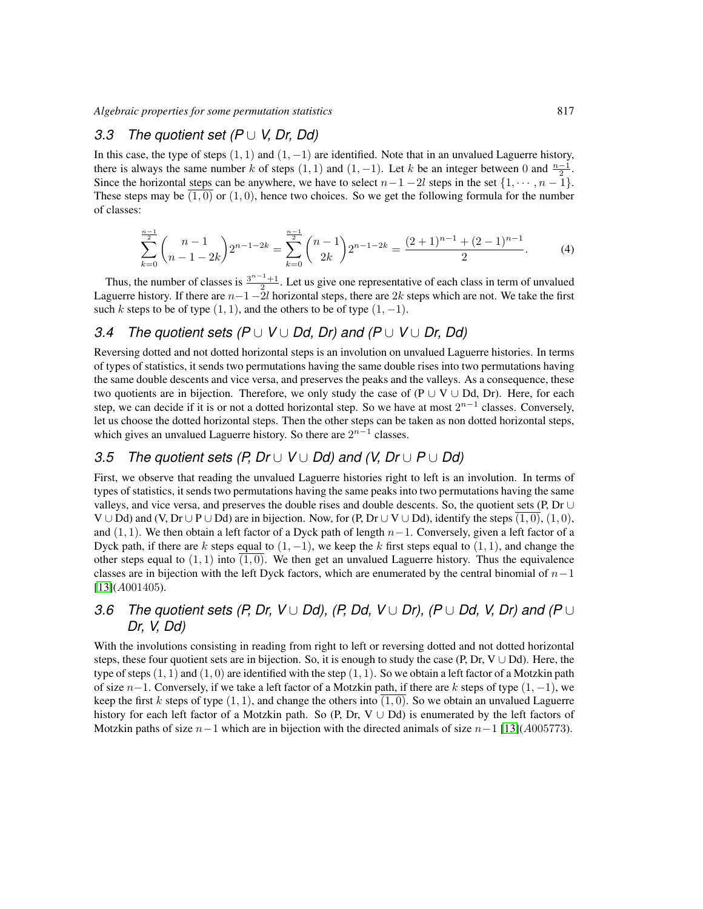## *3.3 The quotient set (P* ∪ *V, Dr, Dd)*

In this case, the type of steps  $(1, 1)$  and  $(1, -1)$  are identified. Note that in an unvalued Laguerre history, there is always the same number k of steps  $(1, 1)$  and  $(1, -1)$ . Let k be an integer between 0 and  $\frac{n-1}{2}$ . Since the horizontal steps can be anywhere, we have to select  $n-1-2l$  steps in the set  $\{1, \dots, n-1\}$ . These steps may be  $(1,0)$  or  $(1,0)$ , hence two choices. So we get the following formula for the number of classes:

$$
\sum_{k=0}^{\frac{n-1}{2}} \binom{n-1}{n-1-2k} 2^{n-1-2k} = \sum_{k=0}^{\frac{n-1}{2}} \binom{n-1}{2k} 2^{n-1-2k} = \frac{(2+1)^{n-1} + (2-1)^{n-1}}{2}.
$$
 (4)

Thus, the number of classes is  $\frac{3^{n-1}+1}{2}$ . Let us give one representative of each class in term of unvalued Laguerre history. If there are  $n-1-2l$  horizontal steps, there are  $2k$  steps which are not. We take the first such k steps to be of type  $(1, 1)$ , and the others to be of type  $(1, -1)$ .

## *3.4 The quotient sets (P* ∪ *V* ∪ *Dd, Dr) and (P* ∪ *V* ∪ *Dr, Dd)*

Reversing dotted and not dotted horizontal steps is an involution on unvalued Laguerre histories. In terms of types of statistics, it sends two permutations having the same double rises into two permutations having the same double descents and vice versa, and preserves the peaks and the valleys. As a consequence, these two quotients are in bijection. Therefore, we only study the case of (P  $\cup$  V  $\cup$  Dd, Dr). Here, for each step, we can decide if it is or not a dotted horizontal step. So we have at most  $2^{n-1}$  classes. Conversely, let us choose the dotted horizontal steps. Then the other steps can be taken as non dotted horizontal steps, which gives an unvalued Laguerre history. So there are  $2^{n-1}$  classes.

## *3.5 The quotient sets (P, Dr* ∪ *V* ∪ *Dd) and (V, Dr* ∪ *P* ∪ *Dd)*

First, we observe that reading the unvalued Laguerre histories right to left is an involution. In terms of types of statistics, it sends two permutations having the same peaks into two permutations having the same valleys, and vice versa, and preserves the double rises and double descents. So, the quotient sets (P, Dr ∪  $V \cup Dd$ ) and (V, Dr  $\cup P \cup Dd$ ) are in bijection. Now, for (P, Dr  $\cup V \cup Dd$ ), identify the steps  $(1, 0)$ ,  $(1, 0)$ , and (1, 1). We then obtain a left factor of a Dyck path of length  $n-1$ . Conversely, given a left factor of a Dyck path, if there are k steps equal to  $(1, -1)$ , we keep the k first steps equal to  $(1, 1)$ , and change the other steps equal to  $(1, 1)$  into  $(1, 0)$ . We then get an unvalued Laguerre history. Thus the equivalence classes are in bijection with the left Dyck factors, which are enumerated by the central binomial of  $n-1$ [\[13\]](#page-11-10)(A001405).

## *3.6 The quotient sets (P, Dr, V* ∪ *Dd), (P, Dd, V* ∪ *Dr), (P* ∪ *Dd, V, Dr) and (P* ∪ *Dr, V, Dd)*

With the involutions consisting in reading from right to left or reversing dotted and not dotted horizontal steps, these four quotient sets are in bijection. So, it is enough to study the case (P, Dr, V  $\cup$  Dd). Here, the type of steps  $(1, 1)$  and  $(1, 0)$  are identified with the step  $(1, 1)$ . So we obtain a left factor of a Motzkin path of size  $n-1$ . Conversely, if we take a left factor of a Motzkin path, if there are k steps of type  $(1, -1)$ , we keep the first k steps of type  $(1, 1)$ , and change the others into  $(1, 0)$ . So we obtain an unvalued Laguerre history for each left factor of a Motzkin path. So (P, Dr, V  $\cup$  Dd) is enumerated by the left factors of Motzkin paths of size  $n-1$  which are in bijection with the directed animals of size  $n-1$  [\[13\]](#page-11-10)(A005773).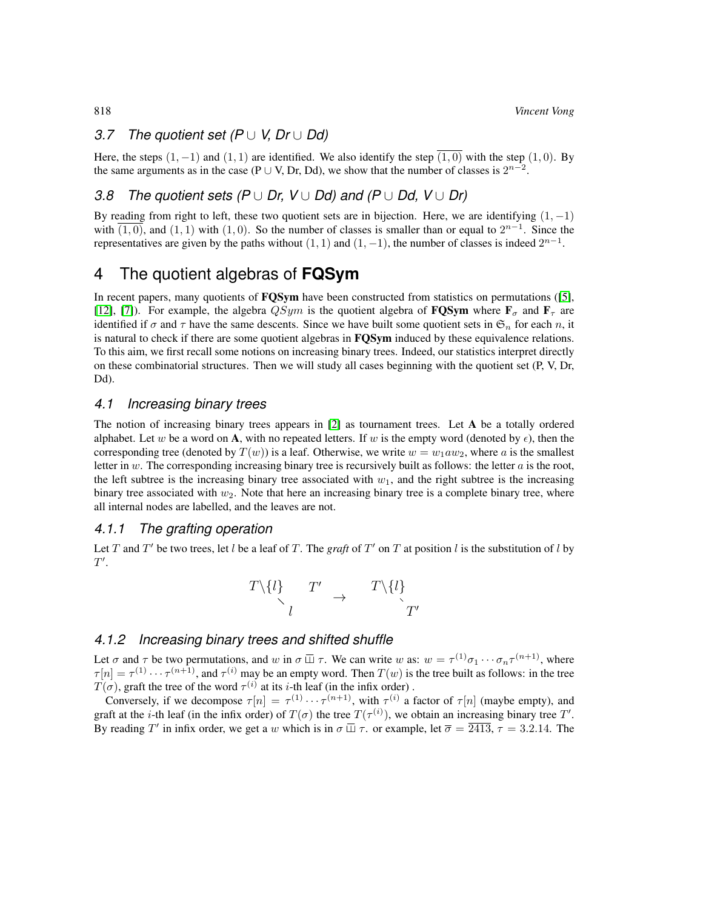#### *3.7 The quotient set (P* ∪ *V, Dr* ∪ *Dd)*

Here, the steps  $(1, -1)$  and  $(1, 1)$  are identified. We also identify the step  $(1, 0)$  with the step  $(1, 0)$ . By the same arguments as in the case (P  $\cup$  V, Dr, Dd), we show that the number of classes is  $2^{n-2}$ .

## *3.8 The quotient sets (P* ∪ *Dr, V* ∪ *Dd) and (P* ∪ *Dd, V* ∪ *Dr)*

By reading from right to left, these two quotient sets are in bijection. Here, we are identifying  $(1, -1)$ with  $\overline{(1,0)}$ , and  $(1,1)$  with  $(1,0)$ . So the number of classes is smaller than or equal to  $2^{n-1}$ . Since the representatives are given by the paths without  $(1, 1)$  and  $(1, -1)$ , the number of classes is indeed  $2^{n-1}$ .

## 4 The quotient algebras of **FQSym**

In recent papers, many quotients of **FQSym** have been constructed from statistics on permutations ([\[5\]](#page-11-11), [\[12\]](#page-11-5), [\[7\]](#page-11-3)). For example, the algebra  $QSym$  is the quotient algebra of **FQSym** where  $\mathbf{F}_{\sigma}$  and  $\mathbf{F}_{\tau}$  are identified if  $\sigma$  and  $\tau$  have the same descents. Since we have built some quotient sets in  $\mathfrak{S}_n$  for each n, it is natural to check if there are some quotient algebras in **FQSym** induced by these equivalence relations. To this aim, we first recall some notions on increasing binary trees. Indeed, our statistics interpret directly on these combinatorial structures. Then we will study all cases beginning with the quotient set (P, V, Dr, Dd).

#### *4.1 Increasing binary trees*

The notion of increasing binary trees appears in  $[2]$  as tournament trees. Let  $A$  be a totally ordered alphabet. Let w be a word on A, with no repeated letters. If w is the empty word (denoted by  $\epsilon$ ), then the corresponding tree (denoted by  $T(w)$ ) is a leaf. Otherwise, we write  $w = w_1 a w_2$ , where a is the smallest letter in  $w$ . The corresponding increasing binary tree is recursively built as follows: the letter  $a$  is the root, the left subtree is the increasing binary tree associated with  $w_1$ , and the right subtree is the increasing binary tree associated with  $w_2$ . Note that here an increasing binary tree is a complete binary tree, where all internal nodes are labelled, and the leaves are not.

#### *4.1.1 The grafting operation*

Let T and T' be two trees, let l be a leaf of T. The *graft* of T' on T at position l is the substitution of l by  $T^{\prime}$ .

$$
\begin{array}{ccc}\nT\setminus\{l\} & T' & \to & T\setminus\{l\} \\
\downarrow & & & T' \\
l & & & T'\n\end{array}
$$

## <span id="page-5-0"></span>*4.1.2 Increasing binary trees and shifted shuffle*

Let  $\sigma$  and  $\tau$  be two permutations, and w in  $\sigma \square \tau$ . We can write w as:  $w = \tau^{(1)} \sigma_1 \cdots \sigma_n \tau^{(n+1)}$ , where  $\tau[n] = \tau^{(1)} \cdots \tau^{(n+1)}$ , and  $\tau^{(i)}$  may be an empty word. Then  $T(w)$  is the tree built as follows: in the tree  $T(\sigma)$ , graft the tree of the word  $\tau^{(i)}$  at its *i*-th leaf (in the infix order).

Conversely, if we decompose  $\tau[n] = \tau^{(1)} \cdots \tau^{(n+1)}$ , with  $\tau^{(i)}$  a factor of  $\tau[n]$  (maybe empty), and graft at the *i*-th leaf (in the infix order) of  $T(\sigma)$  the tree  $T(\tau^{(i)})$ , we obtain an increasing binary tree T'. By reading T' in infix order, we get a w which is in  $\sigma \Box \tau$ . or example, let  $\overline{\sigma} = \overline{2413}$ ,  $\tau = 3.2.14$ . The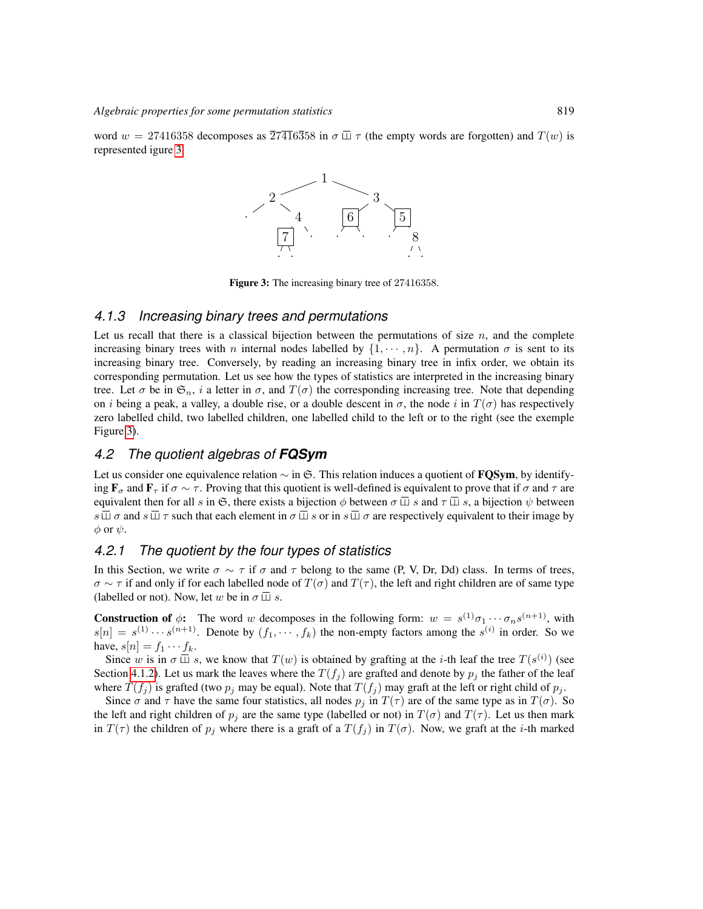word  $w = 27416358$  decomposes as  $\overline{27416358}$  in  $\sigma \overline{\sqcup} \tau$  (the empty words are forgotten) and  $T(w)$  is represented igure [3.](#page-6-0)



<span id="page-6-0"></span>Figure 3: The increasing binary tree of 27416358.

#### *4.1.3 Increasing binary trees and permutations*

Let us recall that there is a classical bijection between the permutations of size  $n$ , and the complete increasing binary trees with n internal nodes labelled by  $\{1, \dots, n\}$ . A permutation  $\sigma$  is sent to its increasing binary tree. Conversely, by reading an increasing binary tree in infix order, we obtain its corresponding permutation. Let us see how the types of statistics are interpreted in the increasing binary tree. Let  $\sigma$  be in  $\mathfrak{S}_n$ , i a letter in  $\sigma$ , and  $T(\sigma)$  the corresponding increasing tree. Note that depending on *i* being a peak, a valley, a double rise, or a double descent in  $\sigma$ , the node *i* in  $T(\sigma)$  has respectively zero labelled child, two labelled children, one labelled child to the left or to the right (see the exemple Figure [3\)](#page-6-0).

#### *4.2 The quotient algebras of FQSym*

Let us consider one equivalence relation  $\sim$  in G. This relation induces a quotient of **FQSym**, by identifying  $\mathbf{F}_{\tau}$  and  $\mathbf{F}_{\tau}$  if  $\sigma \sim \tau$ . Proving that this quotient is well-defined is equivalent to prove that if  $\sigma$  and  $\tau$  are equivalent then for all s in G, there exists a bijection  $\phi$  between  $\sigma \overline{w} s$  and  $\tau \overline{w} s$ , a bijection  $\psi$  between  $s \overline{\perp} \sigma$  and  $s \overline{\perp} \tau$  such that each element in  $\sigma \overline{\perp} s$  or in  $s \overline{\perp} \sigma$  are respectively equivalent to their image by  $\phi$  or  $\psi$ .

#### *4.2.1 The quotient by the four types of statistics*

In this Section, we write  $\sigma \sim \tau$  if  $\sigma$  and  $\tau$  belong to the same (P, V, Dr, Dd) class. In terms of trees,  $\sigma \sim \tau$  if and only if for each labelled node of  $T(\sigma)$  and  $T(\tau)$ , the left and right children are of same type (labelled or not). Now, let w be in  $\sigma \square s$ .

**Construction of**  $\phi$ **:** The word w decomposes in the following form:  $w = s^{(1)}\sigma_1 \cdots \sigma_n s^{(n+1)}$ , with  $s[n] = s^{(1)} \cdots s^{(n+1)}$ . Denote by  $(f_1, \dots, f_k)$  the non-empty factors among the  $s^{(i)}$  in order. So we have,  $s[n] = f_1 \cdots f_k$ .

Since w is in  $\sigma \square s$ , we know that  $T(w)$  is obtained by grafting at the *i*-th leaf the tree  $T(s^{(i)})$  (see Section [4.1.2\)](#page-5-0). Let us mark the leaves where the  $T(f_j)$  are grafted and denote by  $p_j$  the father of the leaf where  $T(f_j)$  is grafted (two  $p_j$  may be equal). Note that  $T(f_j)$  may graft at the left or right child of  $p_j$ .

Since  $\sigma$  and  $\tau$  have the same four statistics, all nodes  $p_i$  in  $T(\tau)$  are of the same type as in  $T(\sigma)$ . So the left and right children of  $p_j$  are the same type (labelled or not) in  $T(\sigma)$  and  $T(\tau)$ . Let us then mark in  $T(\tau)$  the children of  $p_j$  where there is a graft of a  $T(f_j)$  in  $T(\sigma)$ . Now, we graft at the *i*-th marked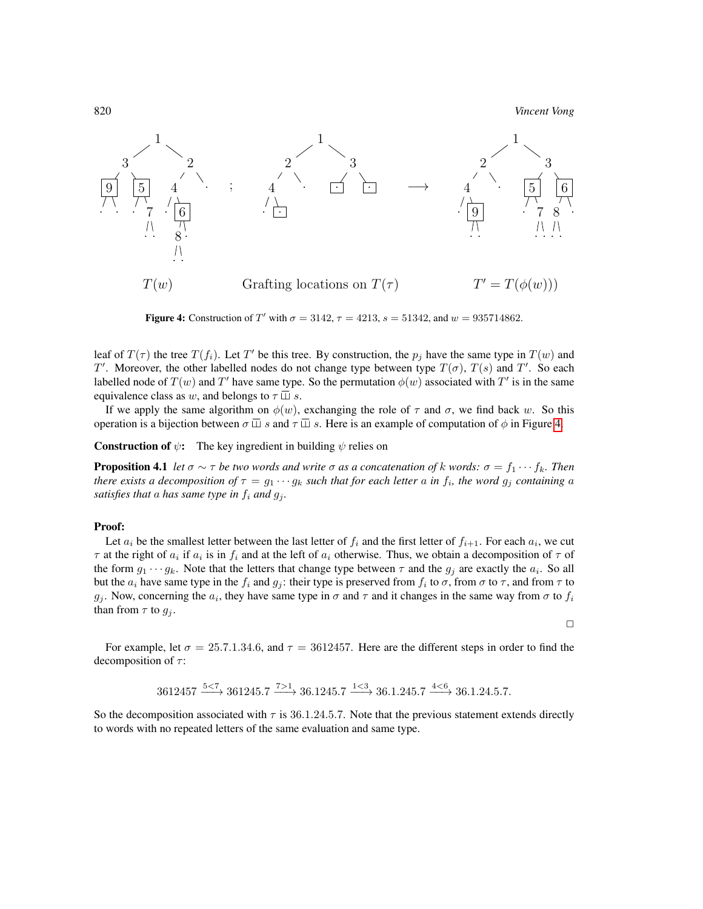820 *Vincent Vong*



<span id="page-7-0"></span>**Figure 4:** Construction of T' with  $\sigma = 3142$ ,  $\tau = 4213$ ,  $s = 51342$ , and  $w = 935714862$ .

leaf of  $T(\tau)$  the tree  $T(f_i)$ . Let T' be this tree. By construction, the  $p_j$  have the same type in  $T(w)$  and T'. Moreover, the other labelled nodes do not change type between type  $T(\sigma)$ ,  $T(s)$  and  $T'$ . So each labelled node of  $T(w)$  and  $T'$  have same type. So the permutation  $\phi(w)$  associated with  $T'$  is in the same equivalence class as w, and belongs to  $\tau \sqcup s$ .

If we apply the same algorithm on  $\phi(w)$ , exchanging the role of  $\tau$  and  $\sigma$ , we find back w. So this operation is a bijection between  $\sigma \square s$  and  $\tau \square s$ . Here is an example of computation of  $\phi$  in Figure [4.](#page-7-0)

**Construction of**  $\psi$ **:** The key ingredient in building  $\psi$  relies on

<span id="page-7-1"></span>**Proposition 4.1** *let*  $\sigma \sim \tau$  *be two words and write*  $\sigma$  *as a concatenation of k words:*  $\sigma = f_1 \cdots f_k$ *. Then there exists a decomposition of*  $\tau = g_1 \cdots g_k$  *such that for each letter a in*  $f_i$ *, the word*  $g_j$  *containing a satisfies that a has same type in*  $f_i$  *and*  $g_j$ *.* 

#### Proof:

Let  $a_i$  be the smallest letter between the last letter of  $f_i$  and the first letter of  $f_{i+1}$ . For each  $a_i$ , we cut  $\tau$  at the right of  $a_i$  if  $a_i$  is in  $f_i$  and at the left of  $a_i$  otherwise. Thus, we obtain a decomposition of  $\tau$  of the form  $g_1 \cdots g_k$ . Note that the letters that change type between  $\tau$  and the  $g_j$  are exactly the  $a_i$ . So all but the  $a_i$  have same type in the  $f_i$  and  $g_j$ : their type is preserved from  $f_i$  to  $\sigma$ , from  $\sigma$  to  $\tau$ , and from  $\tau$  to  $g_j$ . Now, concerning the  $a_i$ , they have same type in  $\sigma$  and  $\tau$  and it changes in the same way from  $\sigma$  to  $f_i$ than from  $\tau$  to  $g_i$ .

 $\Box$ 

For example, let  $\sigma = 25.7.1.34.6$ , and  $\tau = 3612457$ . Here are the different steps in order to find the decomposition of  $\tau$ :

$$
3612457\xrightarrow{5<7}361245.7\xrightarrow{7>1}36.1245.7\xrightarrow{1<3}36.1.245.7\xrightarrow{4<6}36.1.24.5.7.
$$

So the decomposition associated with  $\tau$  is 36.1.24.5.7. Note that the previous statement extends directly to words with no repeated letters of the same evaluation and same type.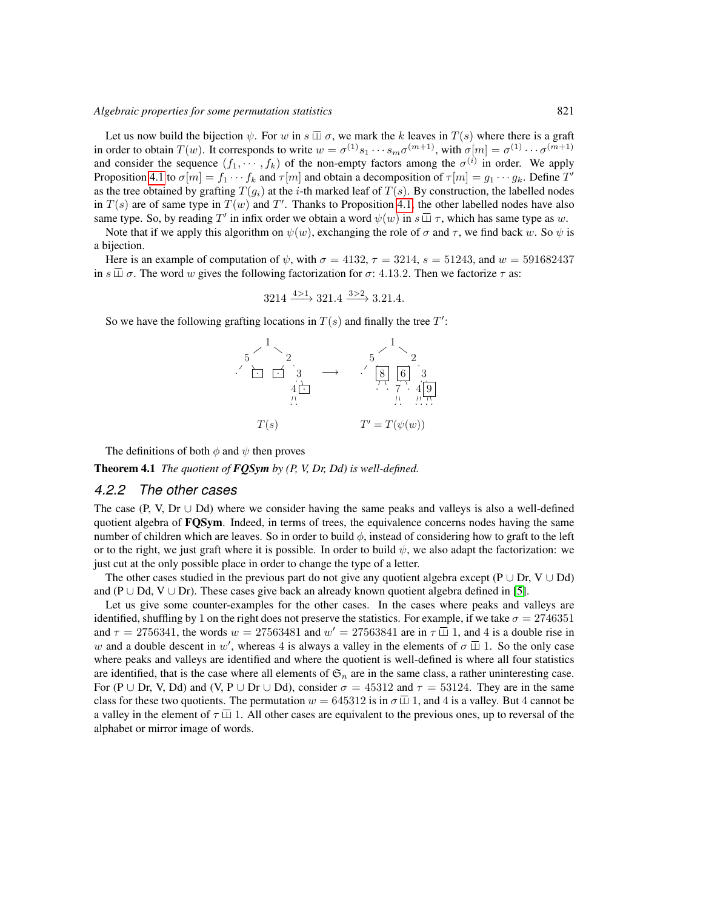Let us now build the bijection  $\psi$ . For w in  $s \overline{\sqcup} \sigma$ , we mark the k leaves in  $T(s)$  where there is a graft in order to obtain  $T(w)$ . It corresponds to write  $w = \sigma^{(1)} s_1 \cdots s_m \sigma^{(m+1)}$ , with  $\sigma[m] = \sigma^{(1)} \cdots \sigma^{(m+1)}$ and consider the sequence  $(f_1, \dots, f_k)$  of the non-empty factors among the  $\sigma^{(i)}$  in order. We apply Proposition [4.1](#page-7-1) to  $\sigma[m] = f_1 \cdots f_k$  and  $\tau[m]$  and obtain a decomposition of  $\tau[m] = g_1 \cdots g_k$ . Define  $T'$ as the tree obtained by grafting  $T(q_i)$  at the *i*-th marked leaf of  $T(s)$ . By construction, the labelled nodes in  $T(s)$  are of same type in  $T(w)$  and  $T'$ . Thanks to Proposition [4.1,](#page-7-1) the other labelled nodes have also same type. So, by reading T' in infix order we obtain a word  $\psi(w)$  in  $s \square \tau$ , which has same type as w.

Note that if we apply this algorithm on  $\psi(w)$ , exchanging the role of  $\sigma$  and  $\tau$ , we find back w. So  $\psi$  is a bijection.

Here is an example of computation of  $\psi$ , with  $\sigma = 4132$ ,  $\tau = 3214$ ,  $s = 51243$ , and  $w = 591682437$ in  $s \overline{\sqcup} \sigma$ . The word w gives the following factorization for  $\sigma$ : 4.13.2. Then we factorize  $\tau$  as:

$$
3214 \xrightarrow{4>1} 321.4 \xrightarrow{3>2} 3.21.4.
$$

So we have the following grafting locations in  $T(s)$  and finally the tree  $T'$ :



The definitions of both  $\phi$  and  $\psi$  then proves

Theorem 4.1 *The quotient of FQSym by (P, V, Dr, Dd) is well-defined.*

#### *4.2.2 The other cases*

The case (P, V, Dr  $\cup$  Dd) where we consider having the same peaks and valleys is also a well-defined quotient algebra of **FQSym**. Indeed, in terms of trees, the equivalence concerns nodes having the same number of children which are leaves. So in order to build  $\phi$ , instead of considering how to graft to the left or to the right, we just graft where it is possible. In order to build  $\psi$ , we also adapt the factorization: we just cut at the only possible place in order to change the type of a letter.

The other cases studied in the previous part do not give any quotient algebra except (P ∪ Dr, V ∪ Dd) and (P ∪ Dd, V ∪ Dr). These cases give back an already known quotient algebra defined in [\[5\]](#page-11-11).

Let us give some counter-examples for the other cases. In the cases where peaks and valleys are identified, shuffling by 1 on the right does not preserve the statistics. For example, if we take  $\sigma = 2746351$ and  $\tau = 2756341$ , the words  $w = 27563481$  and  $w' = 27563841$  are in  $\tau \overline{\perp}$  1, and 4 is a double rise in w and a double descent in w', whereas 4 is always a valley in the elements of  $\sigma \Box$  1. So the only case where peaks and valleys are identified and where the quotient is well-defined is where all four statistics are identified, that is the case where all elements of  $\mathfrak{S}_n$  are in the same class, a rather uninteresting case. For (P ∪ Dr, V, Dd) and (V, P ∪ Dr ∪ Dd), consider  $\sigma = 45312$  and  $\tau = 53124$ . They are in the same class for these two quotients. The permutation  $w = 645312$  is in  $\sigma \overline{\sqcup} 1$ , and 4 is a valley. But 4 cannot be a valley in the element of  $\tau \overline{\sqcup} 1$ . All other cases are equivalent to the previous ones, up to reversal of the alphabet or mirror image of words.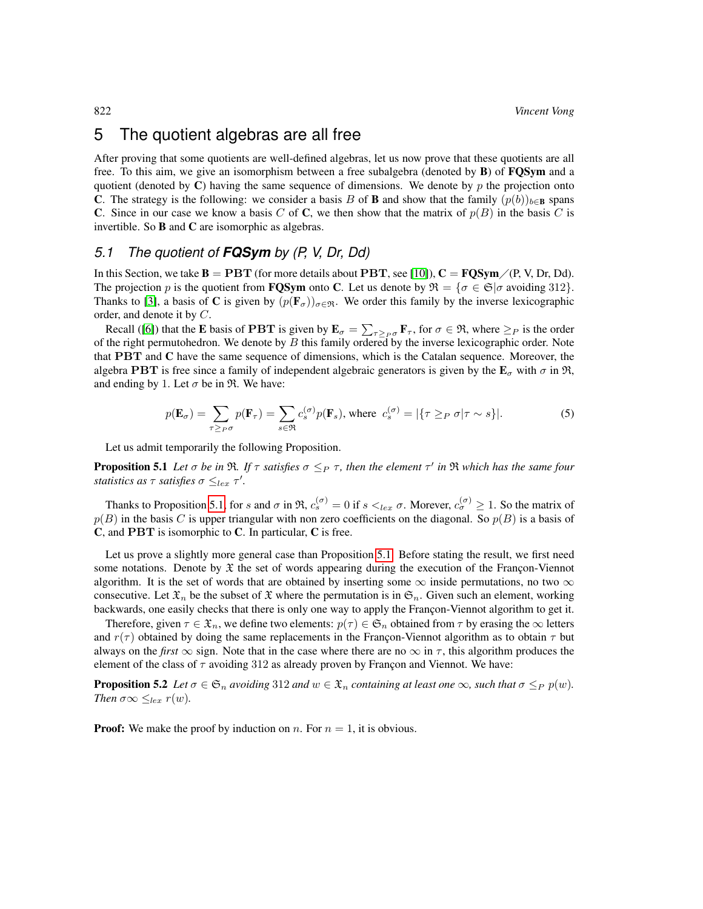## 5 The quotient algebras are all free

After proving that some quotients are well-defined algebras, let us now prove that these quotients are all free. To this aim, we give an isomorphism between a free subalgebra (denoted by B) of FQSym and a quotient (denoted by C) having the same sequence of dimensions. We denote by  $p$  the projection onto C. The strategy is the following: we consider a basis B of **B** and show that the family  $(p(b))_{b\in\mathbf{B}}$  spans C. Since in our case we know a basis C of C, we then show that the matrix of  $p(B)$  in the basis C is invertible. So B and C are isomorphic as algebras.

## *5.1 The quotient of FQSym by (P, V, Dr, Dd)*

In this Section, we take  $\mathbf{B} = \mathbf{PBT}$  (for more details about  $\mathbf{PBT}$ , see [\[10\]](#page-11-12)),  $\mathbf{C} = \mathbf{FQSym}/(P, V, Dr, Dd)$ . The projection p is the quotient from **FOSym** onto C. Let us denote by  $\mathfrak{R} = {\sigma \in \mathfrak{S}}{\sigma}$  avoiding 312. Thanks to [\[3\]](#page-11-8), a basis of C is given by  $(p(\mathbf{F}_{\sigma}))_{\sigma \in \mathfrak{R}}$ . We order this family by the inverse lexicographic order, and denote it by C.

Recall ([\[6\]](#page-11-4)) that the **E** basis of **PBT** is given by  $\mathbf{E}_{\sigma} = \sum_{\tau \geq p_{\sigma}} \mathbf{F}_{\tau}$ , for  $\sigma \in \mathcal{R}$ , where  $\geq_P$  is the order of the right permutohedron. We denote by  $B$  this family ordered by the inverse lexicographic order. Note that PBT and C have the same sequence of dimensions, which is the Catalan sequence. Moreover, the algebra PBT is free since a family of independent algebraic generators is given by the  $\mathbf{E}_{\sigma}$  with  $\sigma$  in  $\mathfrak{R}$ , and ending by 1. Let  $\sigma$  be in  $\mathfrak{R}$ . We have:

$$
p(\mathbf{E}_{\sigma}) = \sum_{\tau \geq p\sigma} p(\mathbf{F}_{\tau}) = \sum_{s \in \mathfrak{R}} c_s^{(\sigma)} p(\mathbf{F}_s), \text{ where } c_s^{(\sigma)} = |\{\tau \geq p \sigma | \tau \sim s\}|. \tag{5}
$$

Let us admit temporarily the following Proposition.

<span id="page-9-0"></span>**Proposition 5.1** Let  $\sigma$  be in  $\Re$ . If  $\tau$  satisfies  $\sigma \leq_P \tau$ , then the element  $\tau'$  in  $\Re$  which has the same four *statistics as*  $\tau$  *satisfies*  $\sigma \leq_{lex} \tau'$ .

Thanks to Proposition [5.1,](#page-9-0) for s and  $\sigma$  in  $\Re$ ,  $c_s^{(\sigma)} = 0$  if  $s \lt_{lex} \sigma$ . Morever,  $c_{\sigma}^{(\sigma)} \ge 1$ . So the matrix of  $p(B)$  in the basis C is upper triangular with non zero coefficients on the diagonal. So  $p(B)$  is a basis of C, and PBT is isomorphic to C. In particular, C is free.

Let us prove a slightly more general case than Proposition [5.1.](#page-9-0) Before stating the result, we first need some notations. Denote by  $\mathfrak X$  the set of words appearing during the execution of the Françon-Viennot algorithm. It is the set of words that are obtained by inserting some  $\infty$  inside permutations, no two  $\infty$ consecutive. Let  $\mathfrak{X}_n$  be the subset of  $\mathfrak X$  where the permutation is in  $\mathfrak{S}_n$ . Given such an element, working backwards, one easily checks that there is only one way to apply the Françon-Viennot algorithm to get it.

Therefore, given  $\tau \in \mathfrak{X}_n$ , we define two elements:  $p(\tau) \in \mathfrak{S}_n$  obtained from  $\tau$  by erasing the  $\infty$  letters and  $r(\tau)$  obtained by doing the same replacements in the Françon-Viennot algorithm as to obtain  $\tau$  but always on the *first*  $\infty$  sign. Note that in the case where there are no  $\infty$  in  $\tau$ , this algorithm produces the element of the class of  $\tau$  avoiding 312 as already proven by Françon and Viennot. We have:

**Proposition 5.2** *Let*  $\sigma \in \mathfrak{S}_n$  *avoiding* 312 *and*  $w \in \mathfrak{X}_n$  *containing at least one*  $\infty$ *, such that*  $\sigma \leq_P p(w)$ *. Then*  $\sigma \infty \leq_{lex} r(w)$ *.* 

**Proof:** We make the proof by induction on n. For  $n = 1$ , it is obvious.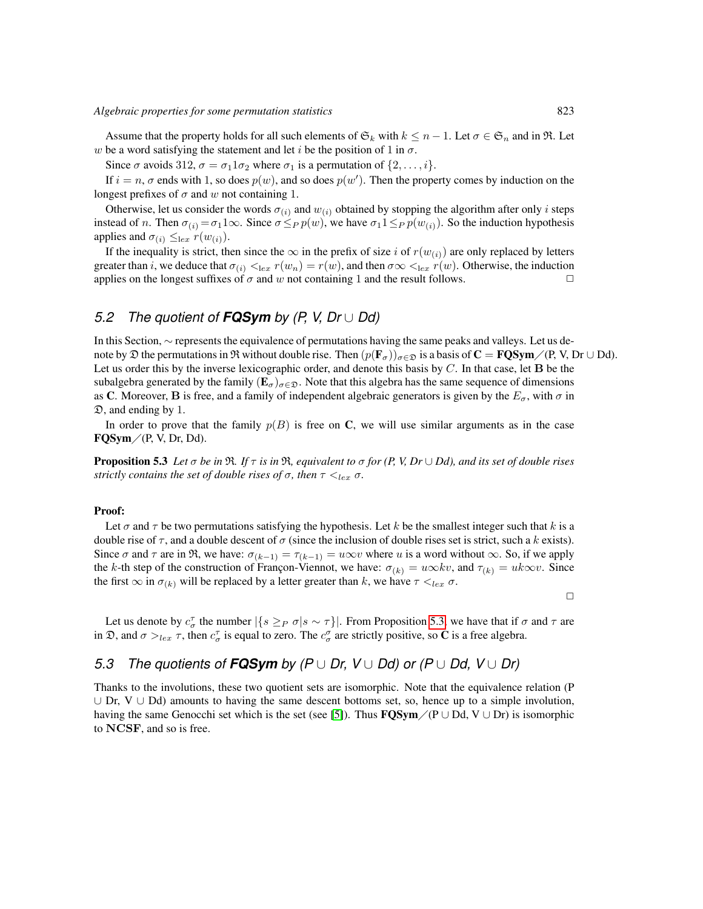Assume that the property holds for all such elements of  $\mathfrak{S}_k$  with  $k \leq n-1$ . Let  $\sigma \in \mathfrak{S}_n$  and in  $\mathfrak{R}$ . Let w be a word satisfying the statement and let i be the position of 1 in  $\sigma$ .

Since  $\sigma$  avoids 312,  $\sigma = \sigma_1 1 \sigma_2$  where  $\sigma_1$  is a permutation of  $\{2, \ldots, i\}$ .

If  $i = n$ ,  $\sigma$  ends with 1, so does  $p(w)$ , and so does  $p(w')$ . Then the property comes by induction on the longest prefixes of  $\sigma$  and w not containing 1.

Otherwise, let us consider the words  $\sigma(i)$  and  $w(i)$  obtained by stopping the algorithm after only i steps instead of n. Then  $\sigma(i) = \sigma(1)\infty$ . Since  $\sigma \leq_P p(w)$ , we have  $\sigma(1 \leq_P p(w_{(i)})$ . So the induction hypothesis applies and  $\sigma_{(i)} \leq_{\text{lex}} r(w_{(i)})$ .

If the inequality is strict, then since the  $\infty$  in the prefix of size i of  $r(w_{(i)})$  are only replaced by letters greater than i, we deduce that  $\sigma(i) \leq |ex r(w_n) = r(w)$ , and then  $\sigma \infty \leq |ex r(w)|$ . Otherwise, the induction applies on the longest suffixes of  $\sigma$  and w not containing 1 and the result follows. applies on the longest suffixes of  $\sigma$  and  $w$  not containing 1 and the result follows.

## *5.2 The quotient of FQSym by (P, V, Dr* ∪ *Dd)*

In this Section, ∼ represents the equivalence of permutations having the same peaks and valleys. Let us denote by  $\mathfrak D$  the permutations in  $\mathfrak R$  without double rise. Then  $(p(\mathbf{F}_\sigma))_{\sigma\in\mathfrak D}$  is a basis of  $\mathbf C = \mathbf FQ\mathbf{Sym}/(P, V, Dr \cup Dd)$ . Let us order this by the inverse lexicographic order, and denote this basis by  $C$ . In that case, let  $\bf{B}$  be the subalgebra generated by the family  $(E_{\sigma})_{\sigma \in \mathfrak{D}}$ . Note that this algebra has the same sequence of dimensions as C. Moreover, B is free, and a family of independent algebraic generators is given by the  $E_{\sigma}$ , with  $\sigma$  in D, and ending by 1.

In order to prove that the family  $p(B)$  is free on C, we will use similar arguments as in the case  $\text{FQSym}/(\text{P}, \text{V}, \text{Dr}, \text{Dd}).$ 

<span id="page-10-0"></span>**Proposition 5.3** *Let*  $\sigma$  *be in*  $\mathfrak{R}$ *. If*  $\tau$  *is in*  $\mathfrak{R}$ *, equivalent to*  $\sigma$  *for* (*P, V, Dr*  $\cup$  *Dd*)*, and its set of double rises strictly contains the set of double rises of*  $\sigma$ *, then*  $\tau \leq_{lex} \sigma$ *.* 

#### Proof:

Let  $\sigma$  and  $\tau$  be two permutations satisfying the hypothesis. Let k be the smallest integer such that k is a double rise of  $\tau$ , and a double descent of  $\sigma$  (since the inclusion of double rises set is strict, such a k exists). Since  $\sigma$  and  $\tau$  are in  $\Re$ , we have:  $\sigma_{(k-1)} = \tau_{(k-1)} = u \infty v$  where u is a word without  $\infty$ . So, if we apply the k-th step of the construction of Françon-Viennot, we have:  $\sigma_{(k)} = u \infty k v$ , and  $\tau_{(k)} = u k \infty v$ . Since the first  $\infty$  in  $\sigma_{(k)}$  will be replaced by a letter greater than k, we have  $\tau \leq_{lex} \sigma$ .

 $\Box$ 

Let us denote by  $c_{\sigma}^{\tau}$  the number  $|\{s \geq_P \sigma | s \sim \tau\}|$ . From Proposition [5.3,](#page-10-0) we have that if  $\sigma$  and  $\tau$  are in  $\mathfrak{D}$ , and  $\sigma >_{lex} \tau$ , then  $c^{\tau}_{\sigma}$  is equal to zero. The  $c^{\sigma}_{\sigma}$  are strictly positive, so **C** is a free algebra.

## *5.3 The quotients of FQSym by (P* ∪ *Dr, V* ∪ *Dd) or (P* ∪ *Dd, V* ∪ *Dr)*

Thanks to the involutions, these two quotient sets are isomorphic. Note that the equivalence relation (P ∪ Dr, V ∪ Dd) amounts to having the same descent bottoms set, so, hence up to a simple involution, having the same Genocchi set which is the set (see [\[5\]](#page-11-11)). Thus  $\text{FGSym}/(P \cup Dd, V \cup Dr)$  is isomorphic to NCSF, and so is free.